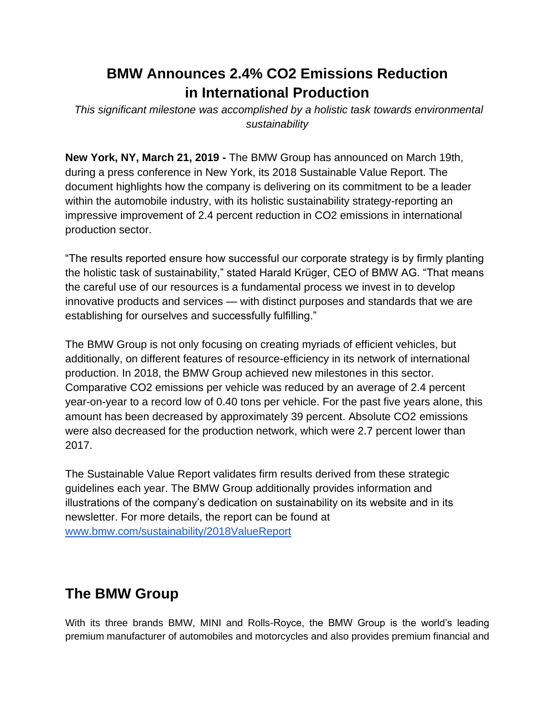## **BMW Announces 2.4% CO2 Emissions Reduction in International Production**

*This significant milestone was accomplished by a holistic task towards environmental sustainability*

**New York, NY, March 21, 2019 -** The BMW Group has announced on March 19th, during a press conference in New York, its 2018 Sustainable Value Report. The document highlights how the company is delivering on its commitment to be a leader within the automobile industry, with its holistic sustainability strategy-reporting an impressive improvement of 2.4 percent reduction in CO2 emissions in international production sector.

"The results reported ensure how successful our corporate strategy is by firmly planting the holistic task of sustainability," stated Harald Krüger, CEO of BMW AG. "That means the careful use of our resources is a fundamental process we invest in to develop innovative products and services — with distinct purposes and standards that we are establishing for ourselves and successfully fulfilling."

The BMW Group is not only focusing on creating myriads of efficient vehicles, but additionally, on different features of resource-efficiency in its network of international production. In 2018, the BMW Group achieved new milestones in this sector. Comparative CO2 emissions per vehicle was reduced by an average of 2.4 percent year-on-year to a record low of 0.40 tons per vehicle. For the past five years alone, this amount has been decreased by approximately 39 percent. Absolute CO2 emissions were also decreased for the production network, which were 2.7 percent lower than 2017.

The Sustainable Value Report validates firm results derived from these strategic guidelines each year. The BMW Group additionally provides information and illustrations of the company's dedication on sustainability on its website and in its newsletter. For more details, the report can be found at [www.bmw.com/sustainability/2018ValueReport](http://www.bmw.com/sustainability/2018ValueReport)

## **The BMW Group**

With its three brands BMW, MINI and Rolls-Royce, the BMW Group is the world's leading premium manufacturer of automobiles and motorcycles and also provides premium financial and